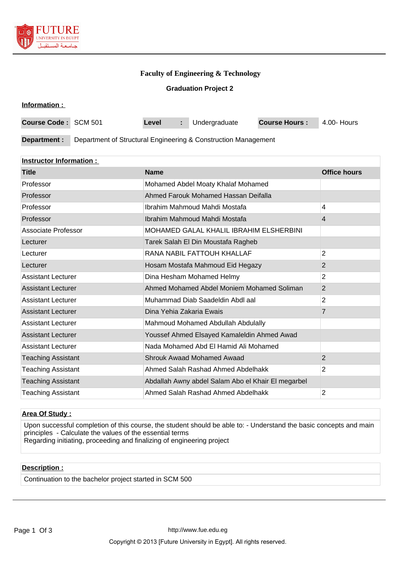

### **Faculty of Engineering & Technology**

**Graduation Project 2**

| Information :                                                                  |  |       |  |                 |                      |             |
|--------------------------------------------------------------------------------|--|-------|--|-----------------|----------------------|-------------|
| Course Code: SCM 501                                                           |  | Level |  | : Undergraduate | <b>Course Hours:</b> | 4.00- Hours |
| Department of Structural Engineering & Construction Management<br>Department : |  |       |  |                 |                      |             |

# **Instructor Information : Title Name Office hours**  Professor **Mohamed Abdel Moaty Khalaf Mohamed** Professor Ahmed Farouk Mohamed Hassan Deifalla Professor Ibrahim Mahmoud Mahdi Mostafa 4 Professor Ibrahim Mahmoud Mahdi Mostafa 4 Associate Professor MOHAMED GALAL KHALIL IBRAHIM ELSHERBINI Lecturer Tarek Salah El Din Moustafa Ragheb Lecturer **RANA NABIL FATTOUH KHALLAF** 2 Lecturer **Hosam Mostafa Mahmoud Eid Hegazy** 2 Assistant Lecturer **Dina Hesham Mohamed Helmy** 2 Assistant Lecturer **Ahmed Mohamed Abdel Moniem Mohamed Soliman** 2 Assistant Lecturer **Muhammad Diab Saadeldin Abdl aal** 2 Assistant Lecturer Dina Yehia Zakaria Ewais 7 Assistant Lecturer Mahmoud Mohamed Abdullah Abdulally Assistant Lecturer Youssef Ahmed Elsayed Kamaleldin Ahmed Awad Assistant Lecturer **National Lecturer Accord Abd El Hamid Ali Mohamed** Abd El Hamid Ali Mohamed Teaching Assistant Shrouk Awaad Mohamed Awaad 2 Teaching Assistant **Ahmed Salah Rashad Ahmed Abdelhakk** 2 Teaching Assistant Abdallah Awny abdel Salam Abo el Khair El megarbel

### **Area Of Study :**

Upon successful completion of this course, the student should be able to: - Understand the basic concepts and main principles - Calculate the values of the essential terms Regarding initiating, proceeding and finalizing of engineering project

Teaching Assistant Ahmed Salah Rashad Ahmed Abdelhakk 2

#### **Description :**

Continuation to the bachelor project started in SCM 500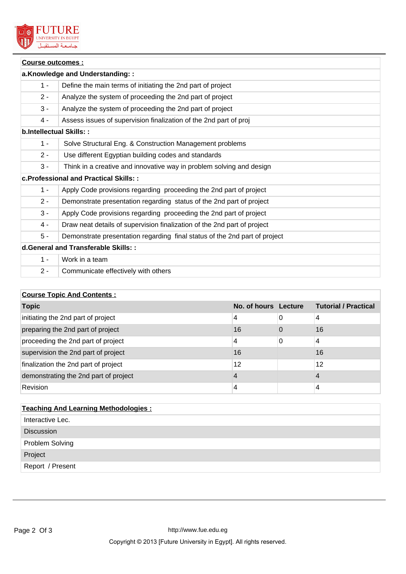

| Course outcomes :                            |                                                                            |  |  |
|----------------------------------------------|----------------------------------------------------------------------------|--|--|
| a.Knowledge and Understanding: :             |                                                                            |  |  |
| $1 -$                                        | Define the main terms of initiating the 2nd part of project                |  |  |
| $2 -$                                        | Analyze the system of proceeding the 2nd part of project                   |  |  |
| $3 -$                                        | Analyze the system of proceeding the 2nd part of project                   |  |  |
| 4 -                                          | Assess issues of supervision finalization of the 2nd part of proj          |  |  |
| b.Intellectual Skills::                      |                                                                            |  |  |
| $1 -$                                        | Solve Structural Eng. & Construction Management problems                   |  |  |
| $2 -$                                        | Use different Egyptian building codes and standards                        |  |  |
| $3 -$                                        | Think in a creative and innovative way in problem solving and design       |  |  |
| <b>c.Professional and Practical Skills::</b> |                                                                            |  |  |
| $1 -$                                        | Apply Code provisions regarding proceeding the 2nd part of project         |  |  |
| $2 -$                                        | Demonstrate presentation regarding status of the 2nd part of project       |  |  |
| $3 -$                                        | Apply Code provisions regarding proceeding the 2nd part of project         |  |  |
| 4 -                                          | Draw neat details of supervision finalization of the 2nd part of project   |  |  |
| $5 -$                                        | Demonstrate presentation regarding final status of the 2nd part of project |  |  |
| d.General and Transferable Skills: :         |                                                                            |  |  |
| $1 -$                                        | Work in a team                                                             |  |  |
| $2 -$                                        | Communicate effectively with others                                        |  |  |

## **Course Topic And Contents :**

| <b>Topic</b>                          | No. of hours Lecture |   | <b>Tutorial / Practical</b> |
|---------------------------------------|----------------------|---|-----------------------------|
| initiating the 2nd part of project    | 4                    | 0 | 4                           |
| preparing the 2nd part of project     | 16                   | 0 | 16                          |
| proceeding the 2nd part of project    | 4                    | 0 | 4                           |
| supervision the 2nd part of project   | 16                   |   | 16                          |
| finalization the 2nd part of project  | 12                   |   | 12                          |
| demonstrating the 2nd part of project | 4                    |   | 4                           |
| Revision                              | 4                    |   | 4                           |

# **Teaching And Learning Methodologies :** Interactive Lec. Discussion Problem Solving Project Report / Present